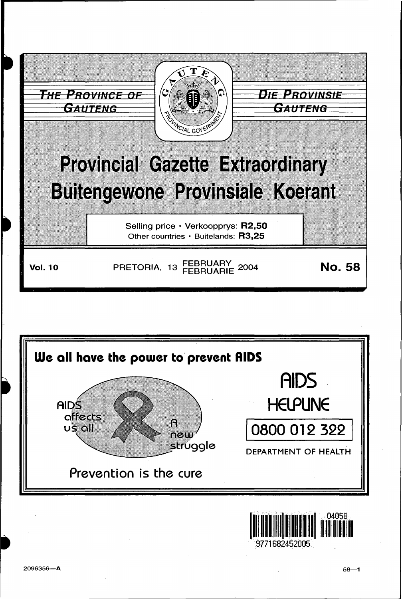



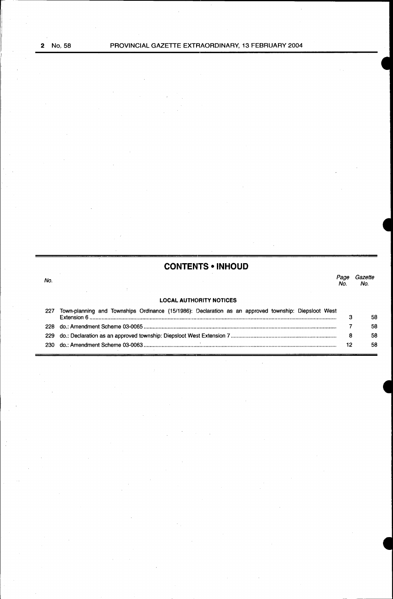# **CONTENITS • INHOUD**

No. *Page Gazette*  No. No.

# LOCAL AUTHORITY NOTICES

| 227 | Town-planning and Townships Ordinance (15/1986): Declaration as an approved township: Diepsloot West |    |
|-----|------------------------------------------------------------------------------------------------------|----|
|     |                                                                                                      | 58 |
| 22R |                                                                                                      | 58 |
|     |                                                                                                      | 58 |
|     |                                                                                                      | 58 |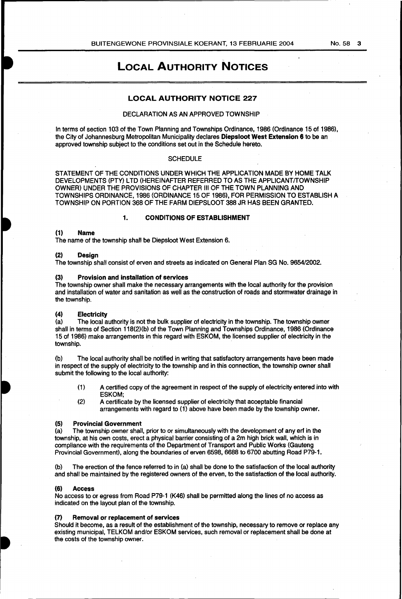# LOCAL AUTHORITY NOTICES

# LOCAL AUTHORITY NOTICE 227

#### DECLARATION AS AN APPROVED TOWNSHIP

In terms of section 103 of the Town Planning and Townships Ordinance, 1986 (Ordinance 15 of 1986), the City of Johannesburg Metropolitan Municipality declares Diepsloot West Extension 6 to be an approved township subject to the conditions set out in the Schedule hereto.

# **SCHEDULE**

STATEMENT OF THE CONDITIONS UNDER WHICH THE APPLICATION MADE BY HOME TALK DEVELOPMENTS (PTY) LTD (HEREINAFTER REFERRED TO AS THE APPLICANT/TOWNSHIP OWNER) UNDER THE PROVISIONS OF CHAPTER Ill OF THE TOWN PLANNING AND TOWNSHIPS ORDINANCE, 1986 (ORDINANCE 15 OF 1986), FOR PERMISSION TO ESTABLISH A TOWNSHIP ON PORTION 368 OF THE FARM DIEPSLOOT 388 JR HAS BEEN GRANTED.

### 1. CONDITIONS OF ESTABLISHMENT

# (1) Name

The name of the township shall be Diepsloot West Extension 6.

# (2) Design

The township shall consist of erven and streets as indicated on General Plan SG No. 9654/2002.

#### (3) Provision and installation of services

The township owner shall make the necessary arrangements with the local authority for the provision and installation of water and sanitation as well as the construction of roads and stormwater drainage in the township.

# (4) Electricity

(a) The local authority is not the bulk supplier of electricity in the township. The township owner shall in terms of Section 118(2)(b) of the Town Planning and Townships Ordinance, 1986 (Ordinance 15 of 1986) make arrangements in this regard with ESKOM, the licensed supplier of electricity in the township.

(b) The local authority shall be notified in writing that satisfactory arrangements have been made in respect of the supply of electricity to the township and in this connection, the township owner shall submit the following to the local authority:

- (1) A certified copy of the agreement in respect of the supply of electricity entered into with ESKOM;
- (2) A certificate by the licensed supplier of electricity that acceptable financial arrangements with regard to (1) above have been made by the township owner.

#### (5) Provincial Government

(a) The township owner shall, prior to or simultaneously with the development of any erf in the township, at his own costs, erect a physical barrier consisting of a 2m high brick wall, which is in compliance with the requirements of the Department of Transport and Public Works (Gauteng Provincial Government), along the boundaries of erven 6598, 6688 to 6700 abutting Road P79-1.

(b) The erection of the fence referred to in (a} shall be done to the satisfaction of the local authority and shall be maintained by the registered owners of the erven, to the satisfaction of the local authority.

#### (6) Access

No access to or egress from Road P79-1 (K46) shall be permitted along the lines of no access as indicated on the layout plan of the township.

#### (7) Removal or replacement of services

Should it become, as a result of the establishment of the township, necessary to remove or replace any existing municipal, TELKOM and/or ESKOM services, such removal or replacement shall be done at the costs of the township owner.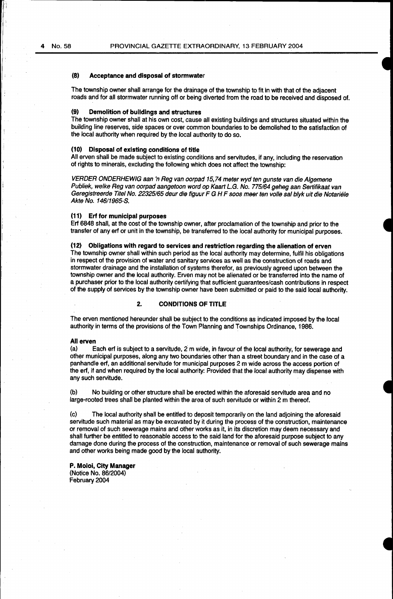#### (8) Acceptance and disposal of stormwater

The township owner shall arrange for the drainage of the township to fit in with that of the adjacent roads and for all stormwater running off or being diverted from the road to be received and disposed of.

#### Demolition of buildings and structures

The township owner shall at his own cost, cause all existing buildings and structures situated within the building line reserves, side spaces or over common boundaries to be demolished to the satisfaction of the local authority when required by the local authority to do so.

# (10) Disposal of existing conditions of title

All erven shall be made subject to existing conditions and servitudes, if any, including the reservation of rights to minerals, excluding the following which does not affect the township:

VERDER ONDERHEWIG aan 'n Reg van oorpad 15,74 meter wyd ten gunste van die Algemene Publiek, welke Reg van oorpad aangetoon word op Kaart L.G. No. 775/64 geheg aan Sertifikaat van Geregistreerde Titel No. 22325/65 deur die figuur F G H F soos meer ten volle sal blyk uit die Notariële Akte No. 146/1965-S.

#### (11) Erf for municipal purposes

Erf 6848 shall, at the cost of the township owner, after proclamation of the township and prior to the transfer of any erf or unit in the township, be transferred to the local authority for municipal purposes.

#### (12) Obligations with regard to services and restriction regarding the alienation of erven

The township owner shall within such period as the local authority may determine, fulfil his obligations in respect of the provision of water and sanitary services as well as the construction of roads and stormwater drainage and the installation of systems therefor, as previously agreed upon between the township owner and the local authority. Erven may not be alienated or be transferred into the name of a purchaser prior to the local authority certifying that sufficient guarantees/cash contributions in respect of the supply of services by the township owner have been submitted or paid to the said local authority.

# 2. CONDITIONS OF TITLE

The erven mentioned hereunder shall be subject to the conditions as indicated imposed by the local authority in terms of the provisions of the Town Planning and Townships Ordinance, 1986.

#### All erven

(a) Each erf is subject to a servitude, 2 m wide, in favour of the local authority, for sewerage and other municipal purposes, along any two boundaries other than a street boundary and in the case of a panhandle erf, an additional servitude for municipal purposes 2m wide across the access portion of the erf, if and when required by the local authority: Provided that the local authority may dispense with any such servitude.

(b) No building or other structure shall be erected within the aforesaid servitude area and no large-rooted trees shall be planted within the area of such servitude or within 2 m thereof.

(c) The local authority shall be entitled to deposit temporarily on the land adjoining the aforesaid servitude such material as may be excavated by it during the process of the construction, maintenance or removal of such sewerage mains and other works as it, in its discretion may deem necessary and shall further be entitled to reasonable access to the said land for the aforesaid purpose subject to any damage done during the process of the construction, maintenance or removal of such sewerage mains and other works being made good by the local authority.

P. Moloi, City Manager (Notice No. 86/2004) February 2004

'I I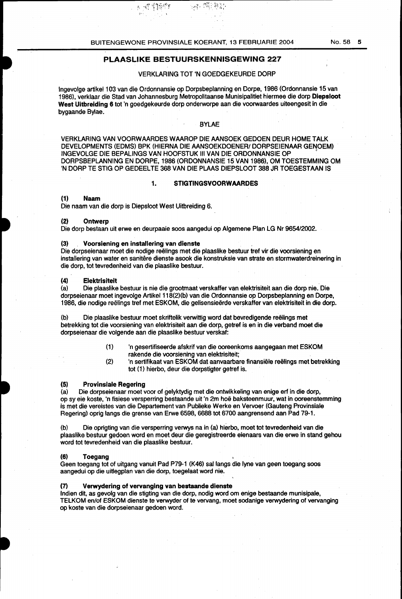$\mathfrak{g}_{\mathbb{C}}$  of  $\mathfrak{P}^{\text{max}}_{\mathbb{C}}$ 

#### VERKLARING TOT 'N GOEDGEKEURDE DORP

<sub>一家,</sub>你能够的

Ingevolge artikel 103 van die Ordonnansie op Dorpsbeplanning en Dorpe, 1986 (Ordonnansie 15 van 1986), verklaar die Stad van Johannesburg Metropolitaanse Munisipalitiet hiermee die dorp Diepsloot West Uitbreiding 6 tot 'n goedgekeurde dorp onderworpe aan die voorwaardes uiteengesit in die bygaande Bylae.

# BYLAE

VERKLARING VAN VOORWAARDES WAAROP DIE AANSOEK GEDOEN DEUR HOME TALK DEVELOPMENTS (EDMS) BPK (HIERNA DIE AANSOEKDOENER/ DORPSEIENAAR GENOEM) INGEVOLGE DIE BEPALINGS VAN HOOFSTUK Ill VAN DIE ORDONNANSIE OP <sup>1</sup> DORPSBEPLANNING EN DORPE, 1986 (ORDONNANSIE 15 VAN 1986), OM TOESTEMMING OM 'N DORP TE STIG OP GEDEEL TE 368 VAN DIE PLAAS DIEPSLOOT 388 JR TOEGESTAAN IS

#### 1. STIGTINGSVOORWAARDES

# (1) Naam

Die naam van die dorp is Diepsloot West Uitbreiding 6.

#### (2) Ontwerp

Die dorp bestaan uit erwe en deurpaaie soos aangedui op Algemene Plan LG Nr 9654/2002.

#### (3) Voorsiening en installering van dienste

Die dorpseienaar moet die nodige reelings met die plaaslike bestuur tref vir die voorsiening en installering van water en sanitere dienste asook die konstruksie van strate en stormwaterdreinering in die dorp, tot tevredenheid van die plaaslike bestuur.

# (4) Elektrisiteit

(a) Die plaaslike bestuur is nie die grootmaat verskaffer van elektrisiteit aan die dorp nie. Die dorpseienaar moet ingevolge Artikel 118(2)(b) van die Ordonnansie op Dorpsbeplanning en Dorpe, 1986, die nodige reëlings tref met ESKOM, die gelisensieërde verskaffer van elektrisiteit in die dorp.

(b) Die plaaslike bestuur moet skriftelik verwittig word dat bevredigende reelings met betrekking tot die voorsiening van elektrisiteit aan die dorp, getref is en in die verband moat die dorpseienaar die volgende aan die plaaslike bestuur verskaf:

- (1) 'n gesertifiseerde afskrif van die ooreenkoms aangegaan met ESKOM rakende die voorsiening van elektrisiteit;
- (2) 'n sertifikaat van ESKOM dat aanvaarbare finansiele reelings met betrekking tot (1) hierbo, deur die dorpstigter getref is.

#### (5) Provinsiale Regering

(a) Die dorpseienaar moet voor of gelyktydig met die ontwikkeling van enige erf in die dorp, op sy eie koste, 'n fisiese versperring bestaande uit 'n 2m hoe baksteenmuur, wat in ooreenstemming is met die vereistes van die Departement van Publieke Werke en Vervoer (Gauteng Provinsiale Regering) oprig langs die grense van Erwe 6598, 6688 tot 6700 aangrensend aan Pad 79-1.

(b) Die oprigting van die versperring verwys na in (a) hierbo, moet tot tevredenheid van die plaaslike bestuur gedoen word en moet deur die geregistreerde eienaars van die erwe in stand gehou word tot tevredenheid van die plaaslike bestuur.

#### (6) Toegang

Geen toegang tot of uitgang vanuit Pad P79-1 (K46) sallangs die lyne van geen toegang soos aangedui op die uitlegplan van die dorp, toegelaat word nie.

# (7) Verwydering of vervanging van bestaande dienste

Indian dit, as gevolg van die stigting van die dorp, nodig word om enige bestaande munisipale, TELKOM en/of ESKOM dienste te verwyder of te vervang, moet sodanige verwydering of vervanging op koste van die dorpseienaar gedoen word.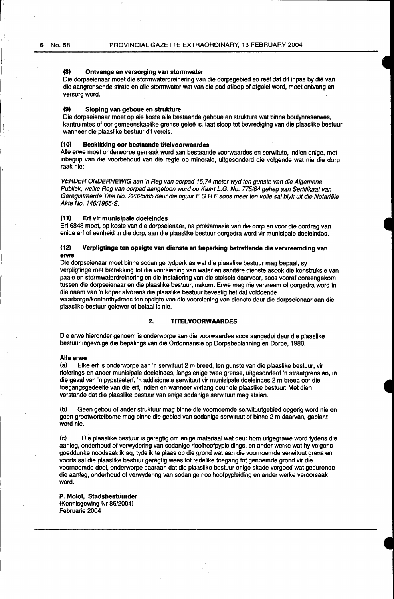#### **(8) Ontvangs en versorging van stormwater**

Die dorpseienaar moet die stormwaterdreinering van die dorpsgebied so reel dat dit inpas by die van die aangrensende strate en aile stormwater wat van die pad afloop of afgelei word, moet ontvang en versorg word.

### **(9) Sloping van geboue en strukture**

Die dorpseienaar moet op eie koste aile bestaande geboue en strukture wat binne boulynreserwes, kantruimtes of oor gemeenskaplike grense gelee is, laat sloop tot bevrediging van die plaaslike bestuur wanneer die plaaslike bestuur dit vereis.

# **(10) Beskikking oor bestaande titelvoorwaardes**

Aile erwe moet onderworpe gemaak word aan bestaande voorwaardes en serwitute, indien enige, met inbegrip van die voorbehoud van die regte op minerale, uitgesonderd die volgende wat nie die dorp raak nie:

VERDER ONDERHEWIG aan 'n Reg van oorpad 15,74 meter wyd ten gunste van die Algemene Publiek, welke Reg van oorpad aangetoon word op Kaart L.G. No. 775/64 geheg aan Sertifikaat van Geregistreerde Titel No. 22325165 deur die figuur F G H F soos meer ten volle sal blyk uit die Notariele Akte No. 14611965-S.

#### **(11) Erf vir munisipale doeleindes**

Erf 6848 moet, op koste van die dorpseienaar, na proklamasie van die dorp en voor die oordrag van enige erf of eenheid in die dorp, aan die plaaslike betstuur oorgedra word vir munisipale doeleindes.

# **(12) Verpligtinge ten opslgte van dienste en beperking betreffende die vervreemding van erwe**

Die dorpseienaar moet binne sodanige tydperk as wat die plaaslike bestuur mag bepaal, sy verpligtinge met betrekking tot die voorsiening van water en sanitere dienste asook die konstruksie van paaie en stormwaterdreinering en die installering van die stelsels daarvoor, soos vooraf ooreengekom tussen die dorpseienaar en die plaaslike bestuur, nakom. Erwe mag nie vervreem of oorgedra word In die naam van 'n koper alvorens die plaaslike bestuur bevestig het dat voldoende waarborge/kontantbydraes ten opsigte van die voorsiening van dienste deur die dorpseienaar aan die plaaslike bestuur gelewer of betaal is nie.

# **2. TITELVOORWAARDES**

Die erwe hieronder genoem is onderworpe aan die voorwaardes soos aangedui deur die plaaslike bestuur ingevolge die bepalings van die Ordonnansie op Dorpsbeplanning en Dorpe, 1986.

#### **Aile erwe**

{a) Elke erf is onderworpe aan 'n serwituut 2 m breed, ten gunste van die plaaslike bestuur, vir riolerings-en ander munisipale doeleindes, langs enige twee grense, uitgesonderd 'n straatgrens en, in die geval van 'n pypsteelerf, 'n addisionele serwituut vir munisipale doeleindes 2m breed oor die toegangsgedeelte van die erf, indien en wanneer verlang deur die plaaslike bestuur: Met dien verstande dat die plaaslike bestuur van enige sodanige serwituut mag afsien.

(b) Geen gebou of ander struktuur mag binne die voornoemde serwituutgebied opgerig word nie en geen grootwortelbome mag binne die gebied van sodanige serwituut of binne 2 m daarvan, geplant word nie.

(c) Die plaaslike bestuur is geregtig om enige materiaal wat deur hom uitgegrawe word tydens die aanleg, onderhoud of verwydering van sodanige rioolhoofpypleidings, en ander werke wat hy volgens goeddunke noodsaaklik ag, tydelik te plaas op die grond wat aan die voornoemde serwituut grens en voorts sal die plaaslike bestuur geregtig wees tot redelike toegang tot genoemde grond vir die voornoemde doel, onderworpe daaraan dat die plaaslike bestuur enige skade vergoed wat gedurende die aanleg, onderhoud of verwydering van sodanige rioolhoofpypleiding en ander werke veroorsaak word.

**P. Moloi, Stadsbestuurder** (Kennisgewing Nr 86/2004) Februarie 2004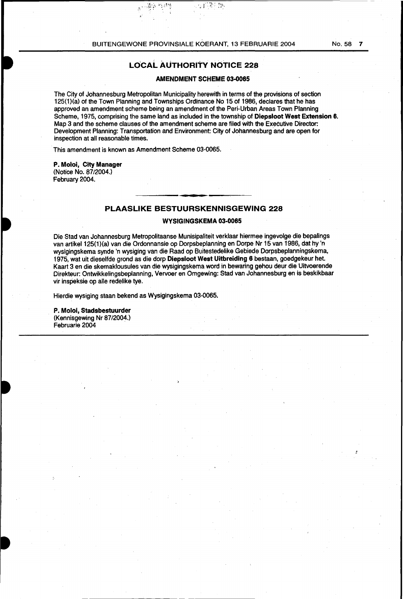# **LO'CAL AUTHORITY NOTICE 228**

# **AMENDMENT SCHEME 03-0065**

豪  $\frac{1}{2}$  is

The City of Johannesburg Metropolitan Municipality herewith in terms of the provisions of section 125(1)(a) of the Town Planning and Townships Ordinance No 15 of 1986, declares that he has approved an amendment scheme being an amendment of the Peri-Urban Areas Town Planning Scheme, 1975, comprising the same land as included in the township of **Diepsloot West Extension 6.**  Map 3 and the scheme clauses of the amendment scheme are filed with the Executive Director. Development Planning: Transportation and Environment: City of Johannesburg and are open for inspection at all reasonable times.

This amendment is known as Amendment Scheme 03-0065.

,:". ,-

# **P. Moloi, City Manager**  (Notice No. 87/2004.)

February 2004.

# **PLAASLIKE BESTUURSKENNISGEWING 228**

# **WYSIGINGSKEMA 03·0065**

Die Stad van Johannesburg Metropolitaanse Munisipaliteit verklaar hiermee ingevolge die bepalings van artikel 125(1)(a) van die Ordonnansie op Dorpsbeplanning en Dorpe Nr 15 van 1986, dat hy 'n wysigingskema synde 'n wysiging van die Raad op Buitestedelike Gebiede Dorpsbeplanningskema, 1975, wat uit dieselfde grond as die dorp **Diepsloot West Uitbreiding 6** bestaan, goedgekeur het. Kaart 3 en die skemaklousules van die wysigingskema word in bewaring gehou deur die Uitvoerende Direkteur: Ontwikkelingsbeplanning, Vervoer en Omgewing: Stad van Johannesburg en is beskikbaar vir inspeksie op aile redelike tye.

Hierdie wysiging staan bekend as Wysigingskema 03-0065.

**P. Moloi, Stadsbestuurder**  (Kennisgewing Nr 87/2004.) Februarie 2004

*:*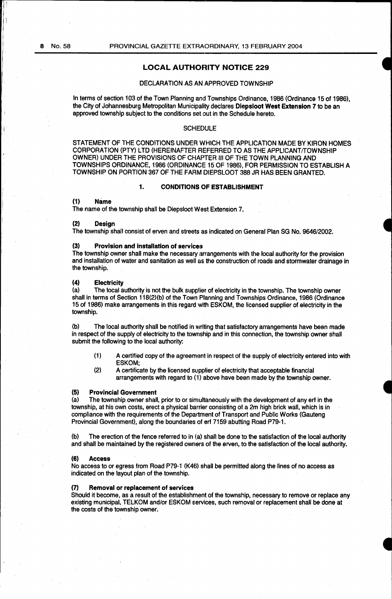I

# LOCAL AUTHOBITY NOTICE 229

## DECLARATION AS AN APPROVED TOWNSHIP

In terms of section 103 of the Town Planning and Townships Ordinance, 1986 (Ordinance 15 of 1986), the City of Johannesburg Metropolitan Municipality declares Oiepsloot West Extension 7 to be an approved township subject to the conditions set out in the Schedule hereto.

# **SCHEDULE**

STATEMENT OF THE CONDITIONS UNDER WHICH THE APPLICATION MADE BY KIRON HOMES CORPORATION (PTY) LTD (HEREINAFTER REFERRED TO AS THE APPLICANT/TOWNSHIP OWNER) UNDER THE PROVISIONS OF CHAPTER Ill OF THE TOWN PLANNING AND TOWNSHIPS ORDINANCE, 1986 (ORDINANCE 15 OF 1986), FOR PERMISSION TO ESTABLISH A TOWNSHIP ON PORTION 367 OF THE FARM DIEPSLOOT 388 JR HAS BEEN GRANTED.

# 1. CONDITIONS OF ESTABLISHMENT

# (1) Name

The name of the township shall be Diepsloot West Extension 7.

#### (2) Design

The township shall consist of erven and streets as indicated on General Plan SG No. 9646/2002.

#### (3) Provision and installation of services

The township owner shall make the necessary arrangements with the focal authority for the provision and installation of water and sanitation as well as the construction of roads and stormwater drainage in the township.

#### (4) Electricity

(a) The local authority is not the bulk supplier of electricity in the township. The township owner shall in terms of Section 118(2)(b) of the Town Planning and Townships Ordinance, 1986 (Ordinance 15 of 1986) make arrangements in this regard with ESKOM, the licensed supplier of electricity in the township.

(b) The local authority shall be notified in writing that satisfactory arrangements have been made in respect of the supply of electricity to the township and in this connection, the township owner shall submit the following to the local authority:

- (1) A certified copy of the agreement in respect of the supply of electricity entered into with ESKOM;
- (2) A certificate by the licensed supplier of electricity that acceptable financial arrangements with regard to (1) above have been made by the township owner.

#### (5) Provincial Government

(a) The township owner shall, prior to or simultaneously with the development of any erf in the township, at his own costs, erect a physical barrier consisting of a 2m high brick wall, which is in compliance with the requirements of the Department of Transport and Public Works (Gauteng Provincial Government), along the boundaries of erf 7159 abutting Road P79-1.

(b) The erection of the fence referred to in (a) shall be done to the satisfaction of the local authority and shall be maintained by the registered owners of the erven, to the satisfaction of the local authority.

#### (6) Access

No access to or egress from Road P79-1 (K46) shall be permitted along the lines of no access as indicated on the layout plan of the township.

#### Removal or replacement of services

Should it become, as a result of the establishment of the township, necessary to remove or replace any existing municipal, TELKOM and/or ESKOM services, such removal or replacement shall be done at the costs of the township owner.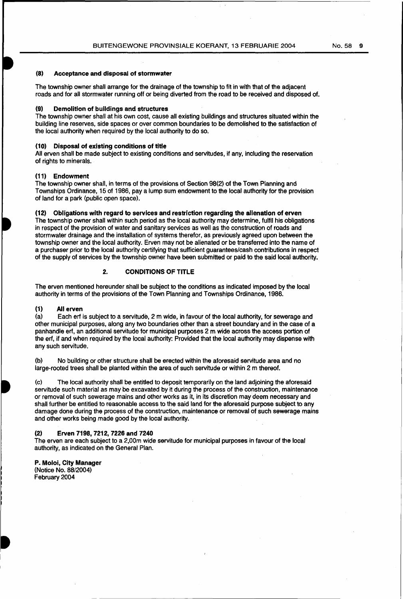# (8) Acceptance and disposal of stormwater

The township owner shall arrange for the drainage of the township to fit in with that of the adjacent roads and for all stormwater running off or being diverted from the road to be received and disposed of.

### (9) Demolition of buildings and structures

The township owner shall at his own cost, cause all existing buildings and structures situated within the building line reserves, side spaces or over common boundaries to be demolished to the satisfaction of the local authority when required by the local authority to do so.

### (10) Disposal of existing conditions of title

All erven shall be made subject to existing conditions and servitudes, if any, including the reservation of rights to minerals.

#### (11) Endowment

The township owner shall, in terms of the provisions of Section 98(2) of the Town Planning and Townships Ordinance, 15 of 1986, pay a lump sum endowment to the local authority for the provision of land for a park (public open space).

#### (12) Obligations with regard to services and restriction regarding the alienation of erven

The township owner shall within such period as the local authority may determine, fulfil his obligations in respect of the provision of water and sanitary services as well as the construction of roads and stormwater drainage and the installation of systems therefor, as previously agreed upon between the township owner and the local authority. Erven may not be alienated or be transferred into the name of a purchaser prior to the local authority certifying that sufficient guarantees/cash contributions in respect of the supply of services by the township owner have been submitted or paid to the said local authority.

# 2. CONDITIONS OF TITLE

The erven mentioned hereunder shall be subject to the conditions as indicated imposed by the local authority in terms of the provisions of the Town Planning and Townships Ordinance, 1986.

# (1) All erven<br>(a) Each erf

Each erf is subject to a servitude, 2 m wide, in favour of the local authority, for sewerage and other municipal purposes, along any two boundaries other than a street boundary and in the case of a panhandle erf, an additional servitude for municipal purposes 2m wide across the access portion of the erf, if and when required by the local authority: Provided that the local authority may dispense with any such servitude.

(b) No building or other structure shall be erected within the aforesaid servitude area and no large-rooted trees shall be planted within the area of such servitude or within 2 m thereof.

(c) The local authority shall be entitled to deposit temporarily on the land adjoining the aforesaid servitude such material as may be excavated by it during the process of the construction, maintenance or removal of such sewerage mains and other works as it, in its discretion may deem necessary and shall further be entitled to reasonable access to the said land for the aforesaid purpose subject to any damage done during the process of the construction, maintenance or removal of such sewerage mains and other works being made good by the local authority.

#### (2) Erven 7198,7212, 7226 and 7240

The erven are each subject to a 2,00m wide servitude for municipal purposes in favour of the local authority, as indicated on the General Plan.

P. Moloi, City Manager (Notice No. 88/2004) February 2004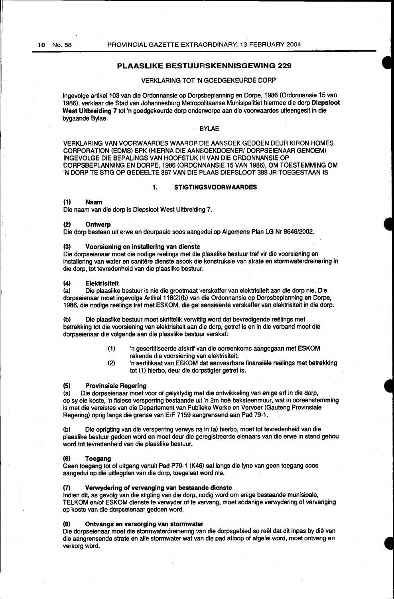# PLAASLIKE BESTUURSKENNISGEWING 229

# VERKLARING TOT 'N GOEDGEKEURDE DORP

lngevolge artikel1 03 van die Ordonnansie op Dorpsbeplanning en Dorpe, 1986 (Ordonnansie 15 van 1986), verklaar die Stad van Johannesburg Metropolitaanse Munisipalitiet hiermee die dorp Diepsloot West Uitbreiding 7 tot 'n goedgekeurde dorp onderworpe aan die voorwaardes uiteengesit in die bygaande Bylae.

# **BYLAE**

VERKLARING VAN VOORWAARDES WAAROP DIE AANSOEK GEDOEN DEUR KIRON HOMES CORPORATION (EDMS} BPK (HIERNA DIE AANSOEKDOENER/ DORPSEIENAAR GENOEM) INGEVOLGE DIE BEPALINGS VAN HOOFSTUK III VAN DIE ORDONNANSIE OP DORPSBEPLANNING EN DORPE, 1986 (ORDONNANSIE 15 VAN 1986), OM TOESTEMMING OM 'N DORP TE STIG OP GEDEELTE 367 VAN DIE PLAAS DIEPSLOOT 388 JR TOEGESTAAN IS

# 1. STIGTINGSVOORWAARDES

#### (1) Naam

Die naam van die dorp is Diepsloot West Uitbreiding 7.

#### (2) Ontwerp

Die dorp bestaan uit erwe en deurpaaie soos aangedui op Algemene Plan LG Nr 9646/2002.

# (3) Voorsiening en installering van dienste

Die dorpseienaar moet die nodige reëlings met die plaaslike bestuur tref vir die voorsiening en installering van water en sanitêre dienste asook die konstruksie van strate en stormwaterdreinering in die dorp, tot tevredenheid van die plaaslike bestuur.

#### (4) Elektrisiteit

(a) Die plaaslike bestuur is nie die grootmaat verskaffer van elektrisiteit aan die dorp nie. Die dorpseienaar moet ingevolge Artikel 118(2)(b) van die Ordonnansie op Dorpsbeplanning en Dorpe, 1986, die nodige reelings tref met ESKOM, die gelisensieerde verskaffer van elektrisiteit in die dorp.

(b) Die plaaslike bestuur moet skriftelik verwittig word dat bevredigende reëlings met betrekking tot die voorsiening van elektrisiteit aan die dorp, getref is en in die verband moat die dorpseienaar die volgende aan die plaaslike bestuur verskaf:

- (1} 'n gesertifiseerde afskrif van die ooreenkoms aangegaan met ESKOM rakende die voorsiening van elektrisiteit;
- (2) 'n sertifikaat van ESKOM dat aanvaarbare finansiele reelings met betrekking tot (1) hierbo, deur die dorpstigter getref is.

#### (5) Provlnsiale Regering

(a) Die dorpseienaar moat voor of gelyktydig met die ontwikkeling van enige erf in die dorp, op sy eie koste, 'n fisiese versperring bestaande uit 'n 2m hoe baksteenmuur, wat in ooreenstemming is met die vereistes van die Departement van Publieke Werke en Vervoer (Gauteng Provinsiale Regering) oprig langs die grense van ErF 7159 aangrensend aan Pad 79-1.

(b) Die oprigting van die versperring verwys na in (a) hierbo, moet tot tevredenheid van die plaaslike bestuur gedoen word en moet deur die geregistreerde eienaars van die erwe in stand gehou word tot tevredenheid van die plaaslike bestuur.

#### (6) Toegang

Geen toegang tot of uitgang vanuit Pad P79-1 (K46) sal langs die lyne van geen toegang soos aangedui op die uitlegplan van die dorp, toegelaat word nie.

#### (7) Verwydering of vervanging van bestaande dienste

lndien dit, as gevolg van die stigting van die dorp, nodig word om enige bestaande munisipale, TELKOM en/of ESKOM dienste te verwyder of te vervang, moet sodanige verwydering of vervanging op koste van die dorpseienaar gedoen word.

#### (8) Ontvangs en versorging van stormwater

Die dorpseienaar moet die stormwaterdreinering van die dorpsgebied so reël dat dit inpas by diè van die aangrensende strata en aile stormwater wat van die pad afloop of afgelei word, moet ontvang en versorg word.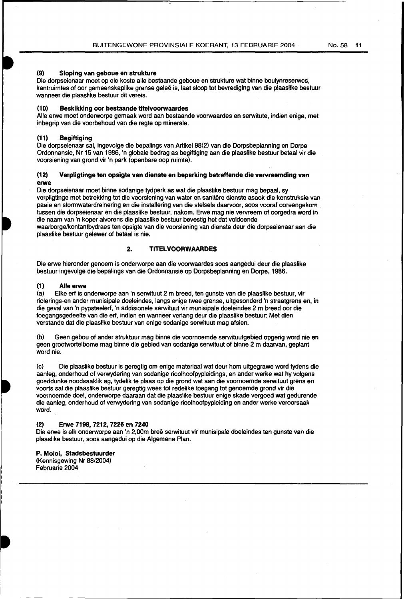# (9) Sloping van geboue en strukture

Die dorpseienaar moet op eie koste aile bestaande geboue en strukture wat binne boulynreserwes, kantruimtes of oor gemeenskaplike grense galee is, laat sloop tot bevrediging van die plaaslike bestuur wanneer die plaaslike bestuur dit vereis.

# (10) Beskikking oor bestaande titelvoorwaardes

Alle erwe moet onderworpe gemaak word aan bestaande voorwaardes en serwitute, indien enige, met inbegrip van die voorbehoud van die regte op minerale.

# (11) Begiftiging

Die dorpseienaar sal, ingevolge die bepalings van Artikel 98{2) van die Dorpsbeplanning en Dorpe Ordonnansie, Nr 15 van 1986, 'n globale bedrag as begiftiging aan die plaaslike bestuur betaal vir die voorsiening van grond vir 'n park {openbare oop ruimte).

# (12) Verpligtinge ten opsigte van dienste en beperking betreffende die vervreemding van erwe

Die dorpseienaar moet binne sodanige tydperk as wat die plaaslike bestuur mag bepaal, sy verpligtinge met betrekking tot die voorsiening van water en sanitere dienste asook die konstruksie van paaie en stormwaterdreinering en die installering van die stelsels daarvoor, soos vooraf ooreengekom tussen die dorpseienaar en die plaaslike bestuur, nakom. Erwe mag nie vervreem of oorgedra word in die naam van 'n koper alvorens die plaaslike bestuur bevestig het dat voldoende waarborge/kontantbydraes ten opsigte van die voorsiening van dienste deur die dorpseienaar aan die

plaaslike bestuur gelewer of betaal is nie.

# 2. TITELVOORWAARDES

Die erwe hieronder genoem is onderworpe aan die voorwaardes soos aangedui deur die plaaslike bestuur ingevolge die bepalings van die Ordonnansie op Dorpsbeplanning en Dorpe, 1986.

### (1) Aile erwe

(a) Elke erf is onderworpe aan 'n serwituut 2 m breed, ten gunste van die plaaslike bestuur, vir riolerings-en ander munisipale doeleindes, langs enige twee grense, uitgesonderd 'n straatgrens en, in die geval van 'n pypsteelerf, 'n addisionele serwituut vir munisipale doeleindes 2 m breed oor die toegangsgedeelte van die ert, indian en wanneer verlang deur die plaaslike bestuur: Met dien verstande dat die plaaslike bestuur van enige sodanige serwituut mag afsien.

(b) Geen gebou of ander struktuur mag binne die voornoemde serwituutgebied opgerig word nie en geen grootwortelbome mag binne die gebied van sodanige serwituut of binne 2 m daarvan, geplant word nie.

(c) Die plaaslike bestuur is geregtig om enige materiaal wat deur hom uitgegrawe word tydens die aanleg, onderhoud of verwydering van sodanige rioolhoofpypleidings, en ander werke wat hy volgens goeddunke noodsaaklik ag, tydelik te plaas op die grand wat aan die voornoemde serwituut grens en voorts sal die plaaslike bestuur geregtig wees tot redelike toegang tot genoemde grand vir die voornoemde doel, onderworpe daaraan dat die plaaslike bestuur enige skade vergoed wat gedurende die aanleg, onderhoud of verwydering van sodanige rioolhoofpypleiding en ander werke veroorsaak word.

#### (2) Erwe 7198, 7212, 7226 en 7240

Die erwe is elk onderworpe aan 'n 2,00m breë serwituut vir munisipale doeleindes ten gunste van die plaaslike bestuur, soos aangedui op die Algemene Plan.

#### P. Moloi, Stadsbestuurder (Kennisgewing Nr 88/2004) Februarie 2004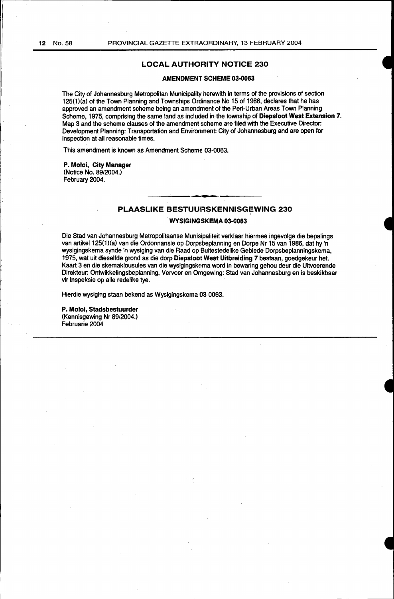# **LOCAL AUTHORITY NOTICE 230**

#### **AMENDMENT SCHEME 03-0063**

The City of Johannesburg Metropolitan Municipality herewith in terms of the provisions of section 125(1)(a) of the Town Planning and Townships Ordinance No 15 of 1986, declares that he has approved an amendment scheme being an amendment of the Peri-Urban Areas Town Planning Scheme, 1975, comprising the same land as included in the township of **Diepsloot West Extension 7.** Map 3 and the scheme clauses of the amendment scheme are filed with the Executive Director: Development Planning: Transportation and Environment: City of Johannesburg and are open for inspection at all reasonable times.

This amendment is known as Amendment Scheme 03-0063.

#### **P. Moloi, City Manager**  (Notice No. 89/2004.)

February 2004.

# PLAASLIKE BESTUURSKENNISGEWING 230

# **WYSIGINGSKEMA 03-0063**

Die Stad van Johannesburg Metropolitaanse Munisipaliteit verklaar hiermee ingevolge die bepalings van artikel 125(1)(a) van die Ordonnansie op Dorpsbeplanning en Dorpe Nr 15 van 1986, dat hy 'n wysigingskema synde 'n wysiging van die Raad op Buitestedelike Gebiede Dorpsbeplanningskema, 1975, wat uit dieselfde grond as die dorp **Diepsloot West Uitbreiding 7** bestaan, goedgekeur het. Kaart 3 en die skemaklousules van die wysigingskema word in bewaring gehou deur die Uitvoerende Direkteur: Ontwikkelingsbeplanning, Vervoer en Omgewing: Stad van Johannesburg en is besklkbaar vir inspeksie op aile redelike tye.

Hierdie wysiging staan bekend as Wysigingskema 03-0063.

**P. Moloi, Stadsbestuurder**  (Kennisgewing Nr 89/2004.) Februarie 2004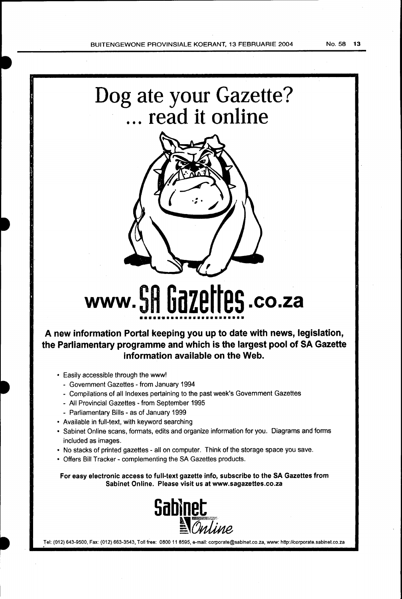



# **www. 5H UdZEIIE5.co.za** •••••••••••••••••••••••••

**A new information Portal keeping you up to date with news, legislation, the Parliamentary programme and which is the largest pool of SA Gazette information available on the Web.** 

- Easily accessible through the www!
	- Government Gazettes from January 1994
	- Compilations of all Indexes pertaining to the past week's Government Gazettes
	- All Provincial Gazettes- from September 1995
	- Parliamentary Bills as of January 1999
- Available in full-text, with keyword searching
- Sabinet Online scans, formats, edits and organize information for you. Diagrams and forms included as images.
- No stacks of printed gazettes- all on computer. Think of the storage space you save.
- Offers Bill Tracker- complementing the SA Gazettes products.

For easy electronic access to full-text gazette info, subscribe to the SA Gazettes from Sabinet Online. Please visit us at www.sagazettes.co.za



Tel: (012) 643-9500, Fax: (012) 663-3543, Toll free: 0800 11 8595, e-mail: corporate@sabinet.co.za, www: http://corporate.sabinet.co.za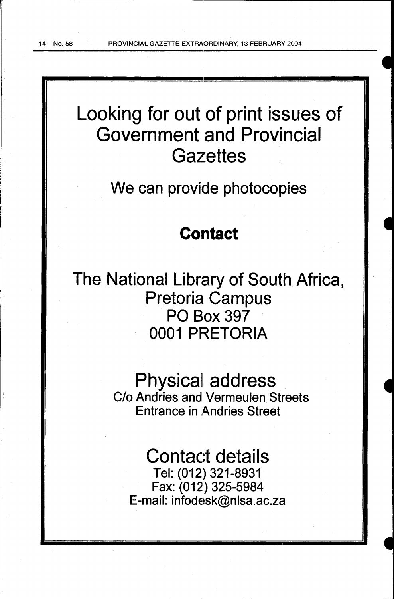# Looking for out of print issues of Government and Provincial **Gazettes**

We can provide photocopies

# Contact

The National Library of South Africa, Pretoria Campus PO Box 397 0001 PRETORIA

> **Physical address**<br>C/o Andries and Vermeulen Streets Entrance in Andries Street

# Contact details

Tel: (012) 321-8931 Fax: (012) 325-5984 E-mail: infodesk@nlsa.ac.za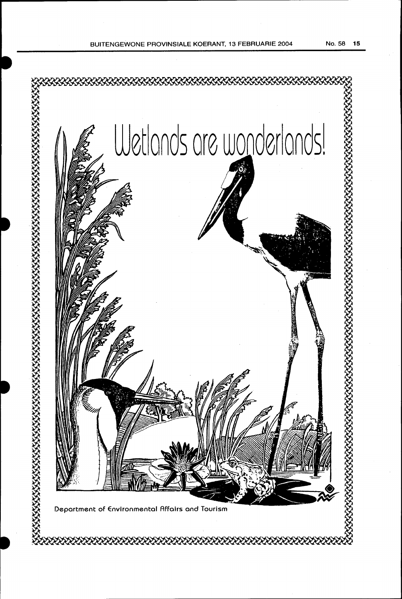